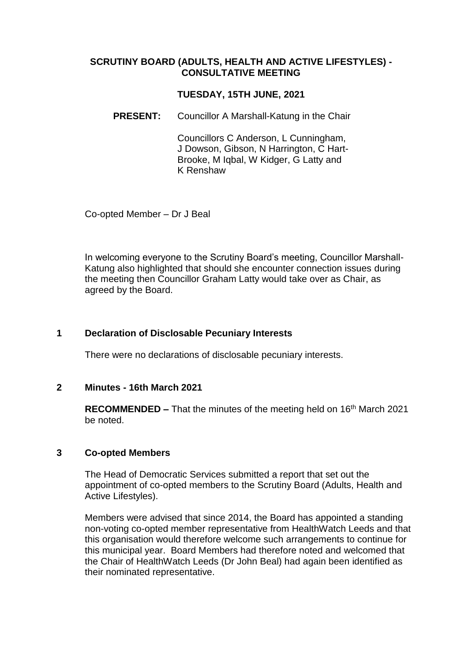## **SCRUTINY BOARD (ADULTS, HEALTH AND ACTIVE LIFESTYLES) - CONSULTATIVE MEETING**

## **TUESDAY, 15TH JUNE, 2021**

**PRESENT:** Councillor A Marshall-Katung in the Chair

Councillors C Anderson, L Cunningham, J Dowson, Gibson, N Harrington, C Hart-Brooke, M Iqbal, W Kidger, G Latty and K Renshaw

Co-opted Member – Dr J Beal

In welcoming everyone to the Scrutiny Board's meeting, Councillor Marshall-Katung also highlighted that should she encounter connection issues during the meeting then Councillor Graham Latty would take over as Chair, as agreed by the Board.

## **1 Declaration of Disclosable Pecuniary Interests**

There were no declarations of disclosable pecuniary interests.

#### **2 Minutes - 16th March 2021**

**RECOMMENDED –** That the minutes of the meeting held on 16<sup>th</sup> March 2021 be noted.

#### **3 Co-opted Members**

The Head of Democratic Services submitted a report that set out the appointment of co-opted members to the Scrutiny Board (Adults, Health and Active Lifestyles).

Members were advised that since 2014, the Board has appointed a standing non-voting co-opted member representative from HealthWatch Leeds and that this organisation would therefore welcome such arrangements to continue for this municipal year. Board Members had therefore noted and welcomed that the Chair of HealthWatch Leeds (Dr John Beal) had again been identified as their nominated representative.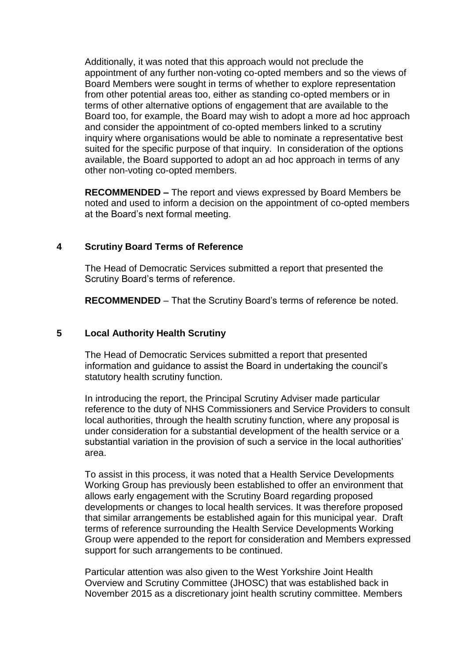Additionally, it was noted that this approach would not preclude the appointment of any further non-voting co-opted members and so the views of Board Members were sought in terms of whether to explore representation from other potential areas too, either as standing co-opted members or in terms of other alternative options of engagement that are available to the Board too, for example, the Board may wish to adopt a more ad hoc approach and consider the appointment of co-opted members linked to a scrutiny inquiry where organisations would be able to nominate a representative best suited for the specific purpose of that inquiry. In consideration of the options available, the Board supported to adopt an ad hoc approach in terms of any other non-voting co-opted members.

**RECOMMENDED –** The report and views expressed by Board Members be noted and used to inform a decision on the appointment of co-opted members at the Board's next formal meeting.

### **4 Scrutiny Board Terms of Reference**

The Head of Democratic Services submitted a report that presented the Scrutiny Board's terms of reference.

**RECOMMENDED** – That the Scrutiny Board's terms of reference be noted.

### **5 Local Authority Health Scrutiny**

The Head of Democratic Services submitted a report that presented information and guidance to assist the Board in undertaking the council's statutory health scrutiny function.

In introducing the report, the Principal Scrutiny Adviser made particular reference to the duty of NHS Commissioners and Service Providers to consult local authorities, through the health scrutiny function, where any proposal is under consideration for a substantial development of the health service or a substantial variation in the provision of such a service in the local authorities' area.

To assist in this process, it was noted that a Health Service Developments Working Group has previously been established to offer an environment that allows early engagement with the Scrutiny Board regarding proposed developments or changes to local health services. It was therefore proposed that similar arrangements be established again for this municipal year. Draft terms of reference surrounding the Health Service Developments Working Group were appended to the report for consideration and Members expressed support for such arrangements to be continued.

Particular attention was also given to the West Yorkshire Joint Health Overview and Scrutiny Committee (JHOSC) that was established back in November 2015 as a discretionary joint health scrutiny committee. Members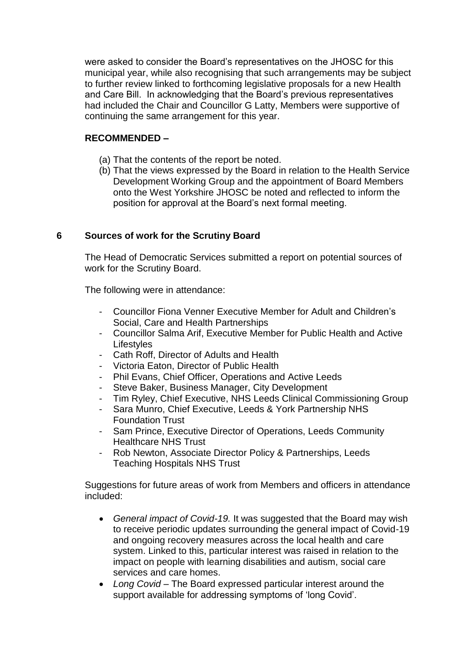were asked to consider the Board's representatives on the JHOSC for this municipal year, while also recognising that such arrangements may be subject to further review linked to forthcoming legislative proposals for a new Health and Care Bill. In acknowledging that the Board's previous representatives had included the Chair and Councillor G Latty, Members were supportive of continuing the same arrangement for this year.

# **RECOMMENDED –**

- (a) That the contents of the report be noted.
- (b) That the views expressed by the Board in relation to the Health Service Development Working Group and the appointment of Board Members onto the West Yorkshire JHOSC be noted and reflected to inform the position for approval at the Board's next formal meeting.

# **6 Sources of work for the Scrutiny Board**

The Head of Democratic Services submitted a report on potential sources of work for the Scrutiny Board.

The following were in attendance:

- Councillor Fiona Venner Executive Member for Adult and Children's Social, Care and Health Partnerships
- Councillor Salma Arif, Executive Member for Public Health and Active **Lifestyles**
- Cath Roff, Director of Adults and Health
- Victoria Eaton, Director of Public Health
- Phil Evans, Chief Officer, Operations and Active Leeds
- Steve Baker, Business Manager, City Development
- Tim Ryley, Chief Executive, NHS Leeds Clinical Commissioning Group
- Sara Munro, Chief Executive, Leeds & York Partnership NHS Foundation Trust
- Sam Prince, Executive Director of Operations, Leeds Community Healthcare NHS Trust
- Rob Newton, Associate Director Policy & Partnerships, Leeds Teaching Hospitals NHS Trust

Suggestions for future areas of work from Members and officers in attendance included:

- *General impact of Covid-19.* It was suggested that the Board may wish to receive periodic updates surrounding the general impact of Covid-19 and ongoing recovery measures across the local health and care system. Linked to this, particular interest was raised in relation to the impact on people with learning disabilities and autism, social care services and care homes.
- *Long Covid –* The Board expressed particular interest around the support available for addressing symptoms of 'long Covid'.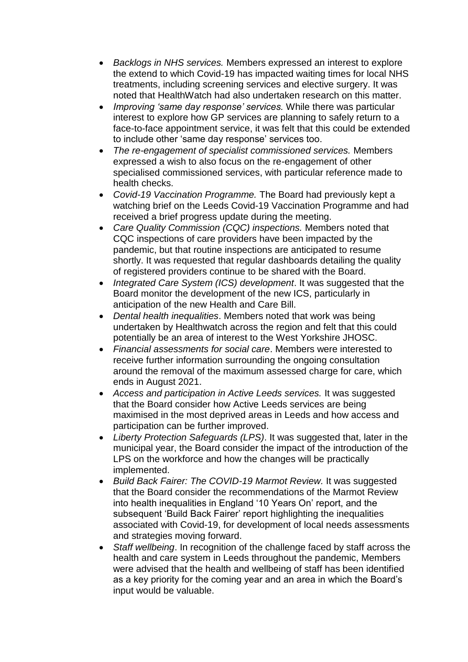- *Backlogs in NHS services.* Members expressed an interest to explore the extend to which Covid-19 has impacted waiting times for local NHS treatments, including screening services and elective surgery. It was noted that HealthWatch had also undertaken research on this matter.
- *Improving 'same day response' services.* While there was particular interest to explore how GP services are planning to safely return to a face-to-face appointment service, it was felt that this could be extended to include other 'same day response' services too.
- *The re-engagement of specialist commissioned services.* Members expressed a wish to also focus on the re-engagement of other specialised commissioned services, with particular reference made to health checks.
- *Covid-19 Vaccination Programme.* The Board had previously kept a watching brief on the Leeds Covid-19 Vaccination Programme and had received a brief progress update during the meeting.
- *Care Quality Commission (CQC) inspections.* Members noted that CQC inspections of care providers have been impacted by the pandemic, but that routine inspections are anticipated to resume shortly. It was requested that regular dashboards detailing the quality of registered providers continue to be shared with the Board.
- *Integrated Care System (ICS) development*. It was suggested that the Board monitor the development of the new ICS, particularly in anticipation of the new Health and Care Bill.
- *Dental health inequalities*. Members noted that work was being undertaken by Healthwatch across the region and felt that this could potentially be an area of interest to the West Yorkshire JHOSC.
- *Financial assessments for social care*. Members were interested to receive further information surrounding the ongoing consultation around the removal of the maximum assessed charge for care, which ends in August 2021.
- *Access and participation in Active Leeds services.* It was suggested that the Board consider how Active Leeds services are being maximised in the most deprived areas in Leeds and how access and participation can be further improved.
- *Liberty Protection Safeguards (LPS)*. It was suggested that, later in the municipal year, the Board consider the impact of the introduction of the LPS on the workforce and how the changes will be practically implemented.
- *Build Back Fairer: The COVID-19 Marmot Review.* It was suggested that the Board consider the recommendations of the Marmot Review into health inequalities in England '10 Years On' report, and the subsequent 'Build Back Fairer' report highlighting the inequalities associated with Covid-19, for development of local needs assessments and strategies moving forward.
- *Staff wellbeing*. In recognition of the challenge faced by staff across the health and care system in Leeds throughout the pandemic, Members were advised that the health and wellbeing of staff has been identified as a key priority for the coming year and an area in which the Board's input would be valuable.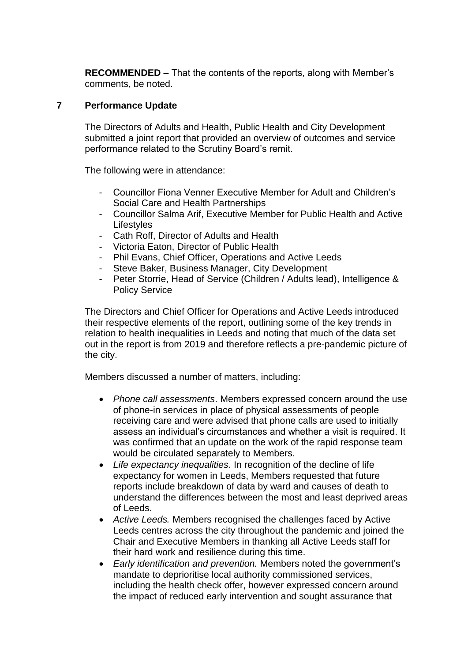**RECOMMENDED –** That the contents of the reports, along with Member's comments, be noted.

## **7 Performance Update**

The Directors of Adults and Health, Public Health and City Development submitted a joint report that provided an overview of outcomes and service performance related to the Scrutiny Board's remit.

The following were in attendance:

- Councillor Fiona Venner Executive Member for Adult and Children's Social Care and Health Partnerships
- Councillor Salma Arif, Executive Member for Public Health and Active **Lifestyles**
- Cath Roff, Director of Adults and Health
- Victoria Eaton, Director of Public Health
- Phil Evans, Chief Officer, Operations and Active Leeds
- Steve Baker, Business Manager, City Development
- Peter Storrie, Head of Service (Children / Adults lead), Intelligence & Policy Service

The Directors and Chief Officer for Operations and Active Leeds introduced their respective elements of the report, outlining some of the key trends in relation to health inequalities in Leeds and noting that much of the data set out in the report is from 2019 and therefore reflects a pre-pandemic picture of the city.

Members discussed a number of matters, including:

- *Phone call assessments*. Members expressed concern around the use of phone-in services in place of physical assessments of people receiving care and were advised that phone calls are used to initially assess an individual's circumstances and whether a visit is required. It was confirmed that an update on the work of the rapid response team would be circulated separately to Members.
- *Life expectancy inequalities*. In recognition of the decline of life expectancy for women in Leeds, Members requested that future reports include breakdown of data by ward and causes of death to understand the differences between the most and least deprived areas of Leeds.
- *Active Leeds.* Members recognised the challenges faced by Active Leeds centres across the city throughout the pandemic and joined the Chair and Executive Members in thanking all Active Leeds staff for their hard work and resilience during this time.
- *Early identification and prevention.* Members noted the government's mandate to deprioritise local authority commissioned services, including the health check offer, however expressed concern around the impact of reduced early intervention and sought assurance that